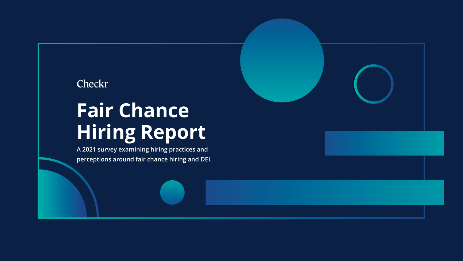# Checkr **Fair Chance Hiring Report**

**A 2021 survey examining hiring practices and perceptions around fair chance hiring and DEI.**



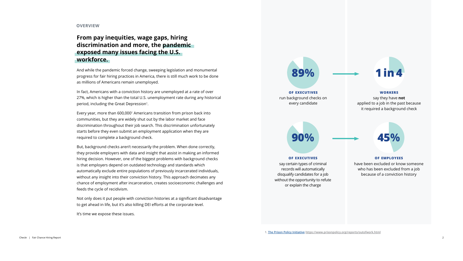#### **overview**



disqualify candidates for a job without the opportunity to refute or explain the charge

In fact, Americans with a conviction history are unemployed at a rate of over 27%, which is higher than the total U.S. unemployment rate during any historical period, including the Great Depression<sup>1</sup>.

because of a conviction history

**1. [The Prison Policy Initiative](https://www.prisonpolicy.org/reports/outofwork.html) https://www.prisonpolicy.org/reports/outofwork.html**

### **From pay inequities, wage gaps, hiring discrimination and more, the pandemic exposed many issues facing the U.S. workforce.**

And while the pandemic forced change, sweeping legislation and monumental progress for fair hiring practices in America, there is still much work to be done as millions of Americans remain unemployed.

Every year, more than 600,0001 Americans transition from prison back into communities, but they are widely shut out by the labor market and face discrimination throughout their job search. This discrimination unfortunately starts before they even submit an employment application when they are required to complete a background check.

But, background checks aren't necessarily the problem. When done correctly, they provide employers with data and insight that assist in making an informed hiring decision. However, one of the biggest problems with background checks is that employers depend on outdated technology and standards which automatically exclude entire populations of previously incarcerated individuals, without any insight into their conviction history. This approach decimates any chance of employment after incarceration, creates socioeconomic challenges and feeds the cycle of recidivism.

Not only does it put people with conviction histories at a significant disadvantage to get ahead in life, but it's also killing DEI efforts at the corporate level.

It's time we expose these issues.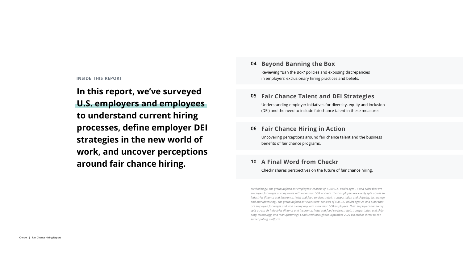#### **inside this report**

**In this report, we've surveyed U.S. employers and employees to understand current hiring processes, define employer DEI strategies in the new world of work, and uncover perceptions around fair chance hiring.**

#### 04 Beyond Banning the Box

*Methodology: The group defined as "employees" consists of 1,200 U.S. adults ages 18 and older that are employed for wages at companies with more than 500 workers. Their employers are evenly split across six industries (finance and insurance; hotel and food services; retail; transportation and shipping; technology; and manufacturing). The group defined as "executives" consists of 400 U.S. adults ages 25 and older that are employed for wages and lead a company with more than 500 employees. Their employers are evenly split across six industries (finance and insurance; hotel and food services; retail; transportation and shipping; technology; and manufacturing). Conducted throughout September 2021 via mobile direct-to-consumer polling platform.*

Reviewing "Ban the Box" policies and exposing discrepancies in employers' exclusionary hiring practices and beliefs.

#### **05 Fair Chance Talent and DEI Strategies**

#### **06 [Fair Chance Hiring in Action](#page-5-0)**

Understanding employer initiatives for diversity, equity and inclusion (DEI) and the need to include fair chance talent in these measures.

### **10 [A Final Word from Checkr](#page-9-0)**

Uncovering perceptions around fair chance talent and the business benefits of fair chance programs.

Checkr shares perspectives on the future of fair chance hiring.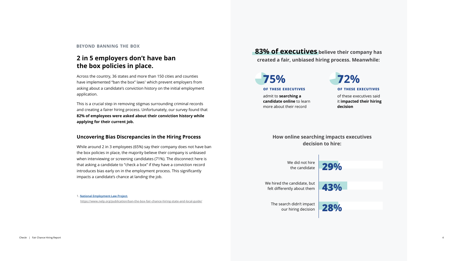#### **beyond banning the box**

### **2 in 5 employers don't have ban the box policies in place.**

Across the country, 36 states and more than 150 cities and counties have implemented "ban the box" laws<sup>1</sup> which prevent employers from asking about a candidate's conviction history on the initial employment application.

This is a crucial step in removing stigmas surrounding criminal records and creating a fairer hiring process. Unfortunately, our survey found that **82% of employees were asked about their conviction history while applying for their current job.**

#### **Uncovering Bias Discrepancies in the Hiring Process**

While around 2 in 3 employees (65%) say their company does not have ban the box policies in place, the majority believe their company is unbiased when interviewing or screening candidates (71%). The disconnect here is that asking a candidate to "check a box" if they have a conviction record introduces bias early on in the employment process. This significantly impacts a candidate's chance at landing the job.

**1. [National Employment Law Project](https://www.nelp.org/publication/ban-the-box-fair-chance-hiring-state-and-local-guide/),** 

**https://www.nelp.org/publication/ban-the-box-fair-chance-hiring-state-and-local-guide/**

admit to **searching a candidate online** to learn more about their record

of these executives said it **impacted their hiring decision**

### **How online searching impacts executives decision to hire:**



**83% of executives believe their company has created a fair, unbiased hiring process. Meanwhile:**

4



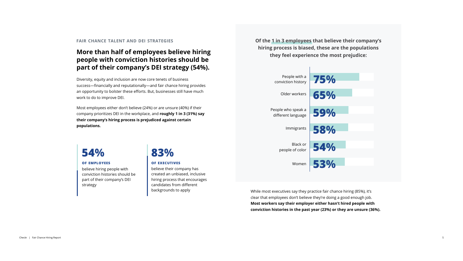#### **fair chance talent and dei strategies**

### **More than half of employees believe hiring people with conviction histories should be part of their company's DEI strategy (54%).**

Diversity, equity and inclusion are now core tenets of business success—financially and reputationally—and fair chance hiring provides an opportunity to bolster these efforts. But, businesses still have much work to do to improve DEI.

Most employees either don't believe (24%) or are unsure (40%) if their company prioritizes DEI in the workplace, and **roughly 1 in 3 (31%) say their company's hiring process is prejudiced against certain populations.**

> While most executives say they practice fair chance hiring (85%), it's clear that employees don't believe they're doing a good enough job. **Most workers say their employer either hasn't hired people with conviction histories in the past year (23%) or they are unsure (36%).**

> > 5

believe their company has created an unbiased, inclusive hiring process that encourages candidates from different backgrounds to apply

believe hiring people with conviction histories should be part of their company's DEI strategy

## **54% 83%**

#### **of employees of executives**



**Of the 1 in 3 employees that believe their company's hiring process is biased, these are the populations they feel experience the most prejudice:**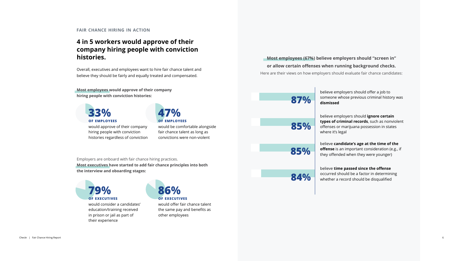#### <span id="page-5-0"></span>**fair chance hiring in action**

### **4 in 5 workers would approve of their company hiring people with conviction histories.**

Overall, executives and employees want to hire fair chance talent and believe they should be fairly and equally treated and compensated.

> would be comfortable alongside fair chance talent as long as convictions were non-violent



believe employers should offer a job to someone whose previous criminal history was **dismissed**

believe employers should **ignore certain types of criminal records**, such as nonviolent offenses or marijuana possession in states where it's legal

believe **candidate's age at the time of the offense** is an important consideration (e.g., if they offended when they were younger)

believe **time passed since the offense** occurred should be a factor in determining whether a record should be disqualified



### **Most employees (67%) believe employers should "screen in" or allow certain offenses when running background checks.**

Here are their views on how employers should evaluate fair chance candidates:

**Most employees would approve of their company hiring people with conviction histories:**

> would offer fair chance talent the same pay and benefits as other employees

would consider a candidates' education/training received in prison or jail as part of their experience



Employers are onboard with fair chance hiring practices.

**Most executives have started to add fair chance principles into both the interview and oboarding stages:**

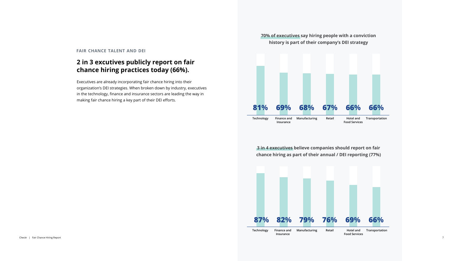

#### **fair chance talent and dei**

### **2 in 3 excutives publicly report on fair chance hiring practices today (66%).**



Executives are already incorporating fair chance hiring into their organization's DEI strategies. When broken down by industry, executives in the technology, finance and insurance sectors are leading the way in making fair chance hiring a key part of their DEI efforts.

**3 in 4 executives believe companies should report on fair chance hiring as part of their annual / DEI reporting (77%)**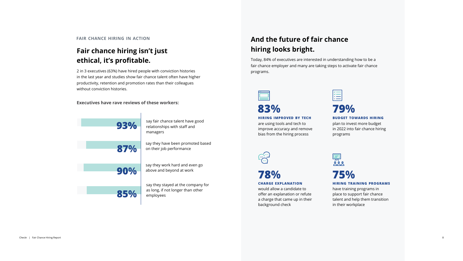## **Fair chance hiring isn't just ethical, it's profitable.**

2 in 3 executives (63%) have hired people with conviction histories in the last year and studies show fair chance talent often have higher productivity, retention and promotion rates than their colleagues without conviction histories.

## **And the future of fair chance hiring looks bright.**

Today, 84% of executives are interested in understanding how to be a fair chance employer and many are taking steps to activate fair chance programs.



are using tools and tech to improve accuracy and remove bias from the hiring process



plan to invest more budget in 2022 into fair chance hiring programs



would allow a candidate to offer an explanation or refute a charge that came up in their

background check



have training programs in place to support fair chance talent and help them transition in their workplace

**Executives have rave reviews of these workers:**



**79%**

**hiring improved by tech**



#### **budget towards hiring**

#### **hiring training programs**

8

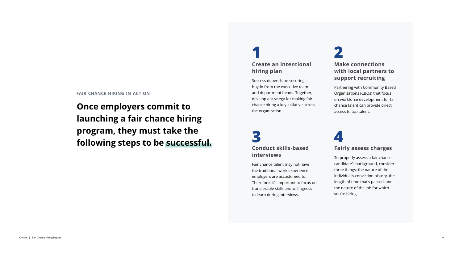Success depends on securing buy-in from the executive team and department heads. Together, develop a strategy for making fair chance hiring a key initiative across the organization.

Fair chance talent may not have the traditional work experience employers are accustomed to. Therefore, it's important to focus on transferable skills and willingness to learn during interviews.

## **Create an intentional hiring plan 1 2**

### **Make connections with local partners to support recruiting**

## **Conduct skills-based interviews 3 4**

Partnering with Community Based Organizations (CBOs) that focus on workforce development for fair chance talent can provide direct access to top talent.

# **Fairly assess charges**

To properly assess a fair chance candidate's background, consider three things: the nature of the individual's conviction history, the length of time that's passed, and the nature of the job for which you're hiring.

**fair chance hiring in action**

**Once employers commit to launching a fair chance hiring program, they must take the following steps to be successful.**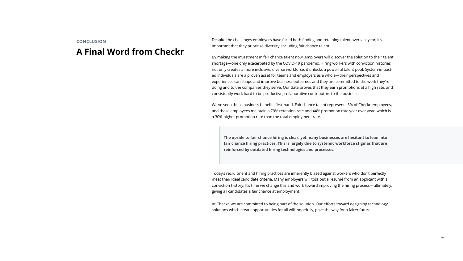Today's recruitment and hiring practices are inherently biased against workers who don't perfectly meet their ideal candidate criteria. Many employers will toss out a resumé from an applicant with a conviction history. It's time we change this and work toward improving the hiring process—ultimately, giving all candidates a fair chance at employment.

At Checkr, we are committed to being part of the solution. Our efforts toward designing technology solutions which create opportunities for all will, hopefully, pave the way for a fairer future.

**The upside to fair chance hiring is clear, yet many businesses are hesitant to lean into fair chance hiring practices. This is largely due to systemic workforce stigmas that are reinforced by outdated hiring technologies and processes.**

seen these business benefits first-hand. Fair chance talent represents 5% of Checkr employees, iese employees maintain a 79% retention rate and 44% promotion rate year over year, which is a 30% higher promotion rate than the total employment rate.

10

<span id="page-9-0"></span>

| <b>CONCLUSION</b>               | <b>Despit</b><br>import                                             |
|---------------------------------|---------------------------------------------------------------------|
| <b>A Final Word from Checkr</b> | By mal<br>shorta                                                    |
|                                 | not on<br>ed indi<br>experie<br>doing a<br>consist                  |
|                                 | We've :<br>and th<br>$\mathbf{a} \cdot \mathbf{b} \cdot \mathbf{b}$ |

te the challenges employers have faced both finding and retaining talent over last year, it's tant that they prioritize diversity, including fair chance talent.

king the investment in fair chance talent now, employers will discover the solution to their talent  $s$ ge—one only exacerbated by the COVID-19 pandemic. Hiring workers with conviction histories nly creates a more inclusive, diverse workforce, it unlocks a powerful talent pool. System-impactlividuals are a proven asset for teams and employers as a whole—their perspectives and iences can shape and improve business outcomes and they are committed to the work they're and to the companies they serve. Our data proves that they earn promotions at a high rate, and tently work hard to be productive, collaborative contributors to the business.